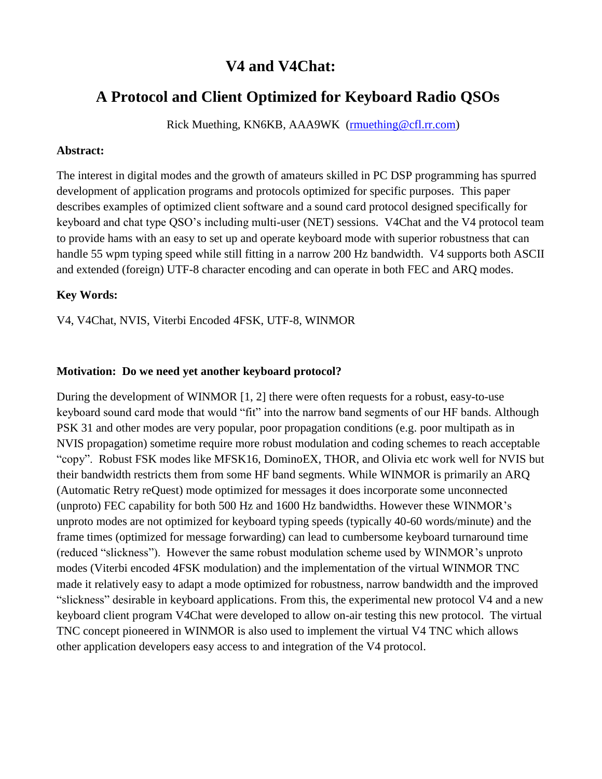# **V4 and V4Chat:**

# **A Protocol and Client Optimized for Keyboard Radio QSOs**

Rick Muething, KN6KB, AAA9WK [\(rmuething@cfl.rr.com\)](mailto:rmuething@cfl.rr.com)

#### **Abstract:**

The interest in digital modes and the growth of amateurs skilled in PC DSP programming has spurred development of application programs and protocols optimized for specific purposes. This paper describes examples of optimized client software and a sound card protocol designed specifically for keyboard and chat type QSO's including multi-user (NET) sessions. V4Chat and the V4 protocol team to provide hams with an easy to set up and operate keyboard mode with superior robustness that can handle 55 wpm typing speed while still fitting in a narrow 200 Hz bandwidth. V4 supports both ASCII and extended (foreign) UTF-8 character encoding and can operate in both FEC and ARQ modes.

### **Key Words:**

V4, V4Chat, NVIS, Viterbi Encoded 4FSK, UTF-8, WINMOR

### **Motivation: Do we need yet another keyboard protocol?**

During the development of WINMOR [1, 2] there were often requests for a robust, easy-to-use keyboard sound card mode that would "fit" into the narrow band segments of our HF bands. Although PSK 31 and other modes are very popular, poor propagation conditions (e.g. poor multipath as in NVIS propagation) sometime require more robust modulation and coding schemes to reach acceptable "copy". Robust FSK modes like MFSK16, DominoEX, THOR, and Olivia etc work well for NVIS but their bandwidth restricts them from some HF band segments. While WINMOR is primarily an ARQ (Automatic Retry reQuest) mode optimized for messages it does incorporate some unconnected (unproto) FEC capability for both 500 Hz and 1600 Hz bandwidths. However these WINMOR's unproto modes are not optimized for keyboard typing speeds (typically 40-60 words/minute) and the frame times (optimized for message forwarding) can lead to cumbersome keyboard turnaround time (reduced "slickness"). However the same robust modulation scheme used by WINMOR's unproto modes (Viterbi encoded 4FSK modulation) and the implementation of the virtual WINMOR TNC made it relatively easy to adapt a mode optimized for robustness, narrow bandwidth and the improved "slickness" desirable in keyboard applications. From this, the experimental new protocol V4 and a new keyboard client program V4Chat were developed to allow on-air testing this new protocol. The virtual TNC concept pioneered in WINMOR is also used to implement the virtual V4 TNC which allows other application developers easy access to and integration of the V4 protocol.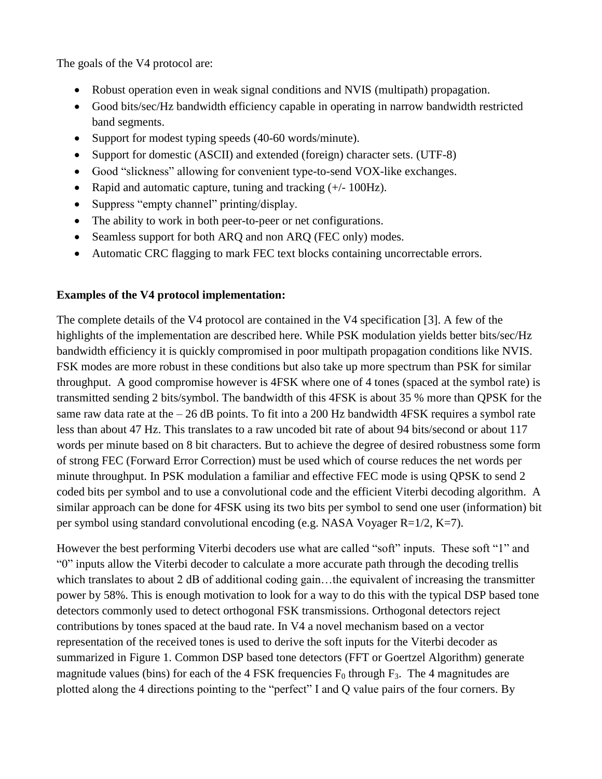The goals of the V4 protocol are:

- Robust operation even in weak signal conditions and NVIS (multipath) propagation.
- Good bits/sec/Hz bandwidth efficiency capable in operating in narrow bandwidth restricted band segments.
- Support for modest typing speeds (40-60 words/minute).
- Support for domestic (ASCII) and extended (foreign) character sets. (UTF-8)
- Good "slickness" allowing for convenient type-to-send VOX-like exchanges.
- Rapid and automatic capture, tuning and tracking  $(+/-100Hz)$ .
- Suppress "empty channel" printing/display.
- The ability to work in both peer-to-peer or net configurations.
- Seamless support for both ARQ and non ARQ (FEC only) modes.
- Automatic CRC flagging to mark FEC text blocks containing uncorrectable errors.

# **Examples of the V4 protocol implementation:**

The complete details of the V4 protocol are contained in the V4 specification [3]. A few of the highlights of the implementation are described here. While PSK modulation yields better bits/sec/Hz bandwidth efficiency it is quickly compromised in poor multipath propagation conditions like NVIS. FSK modes are more robust in these conditions but also take up more spectrum than PSK for similar throughput. A good compromise however is 4FSK where one of 4 tones (spaced at the symbol rate) is transmitted sending 2 bits/symbol. The bandwidth of this 4FSK is about 35 % more than QPSK for the same raw data rate at the  $-26$  dB points. To fit into a 200 Hz bandwidth 4FSK requires a symbol rate less than about 47 Hz. This translates to a raw uncoded bit rate of about 94 bits/second or about 117 words per minute based on 8 bit characters. But to achieve the degree of desired robustness some form of strong FEC (Forward Error Correction) must be used which of course reduces the net words per minute throughput. In PSK modulation a familiar and effective FEC mode is using QPSK to send 2 coded bits per symbol and to use a convolutional code and the efficient Viterbi decoding algorithm. A similar approach can be done for 4FSK using its two bits per symbol to send one user (information) bit per symbol using standard convolutional encoding (e.g. NASA Voyager R=1/2, K=7).

However the best performing Viterbi decoders use what are called "soft" inputs. These soft "1" and "0" inputs allow the Viterbi decoder to calculate a more accurate path through the decoding trellis which translates to about 2 dB of additional coding gain...the equivalent of increasing the transmitter power by 58%. This is enough motivation to look for a way to do this with the typical DSP based tone detectors commonly used to detect orthogonal FSK transmissions. Orthogonal detectors reject contributions by tones spaced at the baud rate. In V4 a novel mechanism based on a vector representation of the received tones is used to derive the soft inputs for the Viterbi decoder as summarized in Figure 1. Common DSP based tone detectors (FFT or Goertzel Algorithm) generate magnitude values (bins) for each of the 4 FSK frequencies  $F_0$  through  $F_3$ . The 4 magnitudes are plotted along the 4 directions pointing to the "perfect" I and Q value pairs of the four corners. By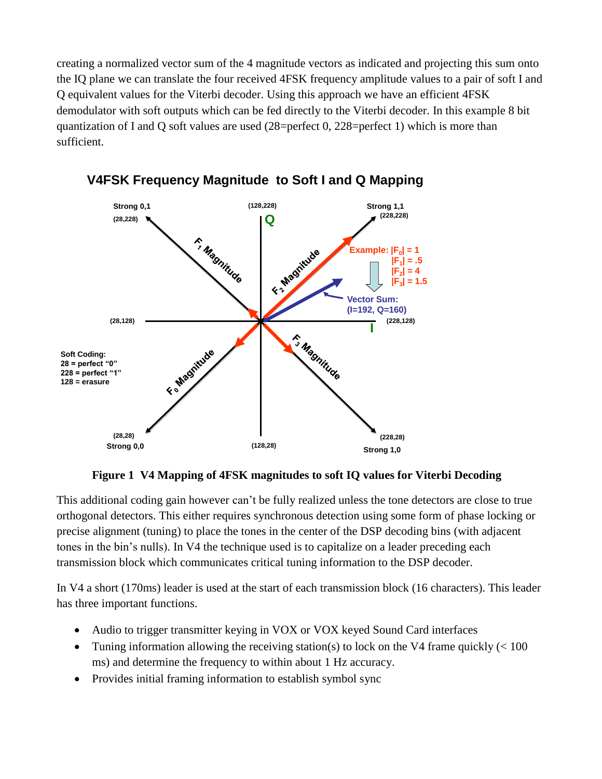creating a normalized vector sum of the 4 magnitude vectors as indicated and projecting this sum onto the IQ plane we can translate the four received 4FSK frequency amplitude values to a pair of soft I and Q equivalent values for the Viterbi decoder. Using this approach we have an efficient 4FSK demodulator with soft outputs which can be fed directly to the Viterbi decoder. In this example 8 bit quantization of I and Q soft values are used (28=perfect 0, 228=perfect 1) which is more than sufficient.



# **V4FSK Frequency Magnitude to Soft I and Q Mapping**

**Figure 1 V4 Mapping of 4FSK magnitudes to soft IQ values for Viterbi Decoding**

This additional coding gain however can't be fully realized unless the tone detectors are close to true orthogonal detectors. This either requires synchronous detection using some form of phase locking or precise alignment (tuning) to place the tones in the center of the DSP decoding bins (with adjacent tones in the bin's nulls). In V4 the technique used is to capitalize on a leader preceding each transmission block which communicates critical tuning information to the DSP decoder.

In V4 a short (170ms) leader is used at the start of each transmission block (16 characters). This leader has three important functions.

- Audio to trigger transmitter keying in VOX or VOX keyed Sound Card interfaces
- Tuning information allowing the receiving station(s) to lock on the V4 frame quickly  $\ll 100$ ms) and determine the frequency to within about 1 Hz accuracy.
- Provides initial framing information to establish symbol sync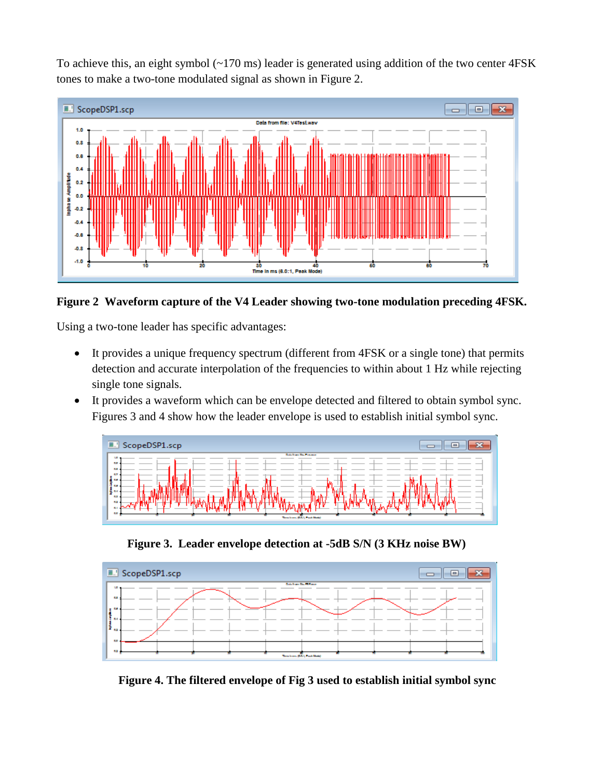To achieve this, an eight symbol (~170 ms) leader is generated using addition of the two center 4FSK tones to make a two-tone modulated signal as shown in Figure 2.



### **Figure 2 Waveform capture of the V4 Leader showing two-tone modulation preceding 4FSK.**

Using a two-tone leader has specific advantages:

- It provides a unique frequency spectrum (different from 4FSK or a single tone) that permits detection and accurate interpolation of the frequencies to within about 1 Hz while rejecting single tone signals.
- It provides a waveform which can be envelope detected and filtered to obtain symbol sync. Figures 3 and 4 show how the leader envelope is used to establish initial symbol sync.



**Figure 3. Leader envelope detection at -5dB S/N (3 KHz noise BW)**



 **Figure 4. The filtered envelope of Fig 3 used to establish initial symbol sync**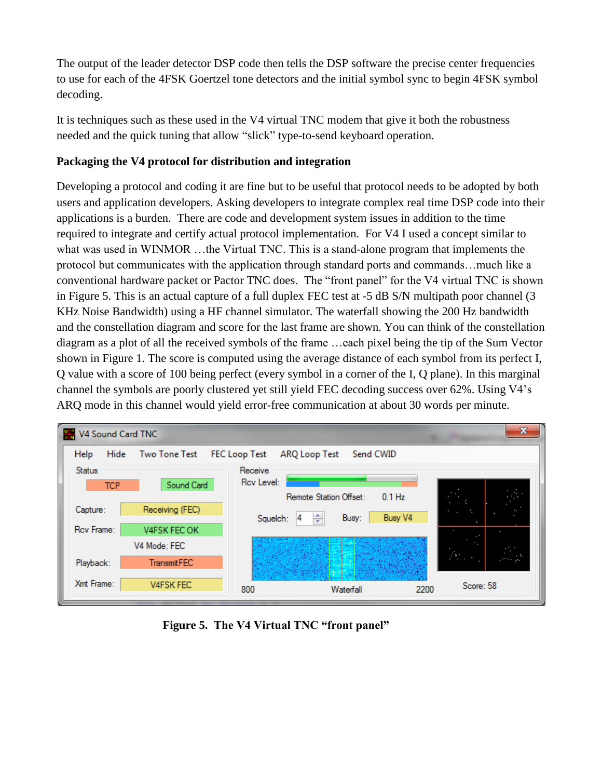The output of the leader detector DSP code then tells the DSP software the precise center frequencies to use for each of the 4FSK Goertzel tone detectors and the initial symbol sync to begin 4FSK symbol decoding.

It is techniques such as these used in the V4 virtual TNC modem that give it both the robustness needed and the quick tuning that allow "slick" type-to-send keyboard operation.

# **Packaging the V4 protocol for distribution and integration**

Developing a protocol and coding it are fine but to be useful that protocol needs to be adopted by both users and application developers. Asking developers to integrate complex real time DSP code into their applications is a burden. There are code and development system issues in addition to the time required to integrate and certify actual protocol implementation. For V4 I used a concept similar to what was used in WINMOR ...the Virtual TNC. This is a stand-alone program that implements the protocol but communicates with the application through standard ports and commands…much like a conventional hardware packet or Pactor TNC does. The "front panel" for the V4 virtual TNC is shown in Figure 5. This is an actual capture of a full duplex FEC test at -5 dB S/N multipath poor channel (3 KHz Noise Bandwidth) using a HF channel simulator. The waterfall showing the 200 Hz bandwidth and the constellation diagram and score for the last frame are shown. You can think of the constellation diagram as a plot of all the received symbols of the frame …each pixel being the tip of the Sum Vector shown in Figure 1. The score is computed using the average distance of each symbol from its perfect I, Q value with a score of 100 being perfect (every symbol in a corner of the I, Q plane). In this marginal channel the symbols are poorly clustered yet still yield FEC decoding success over 62%. Using V4's ARQ mode in this channel would yield error-free communication at about 30 words per minute.



**Figure 5. The V4 Virtual TNC "front panel"**